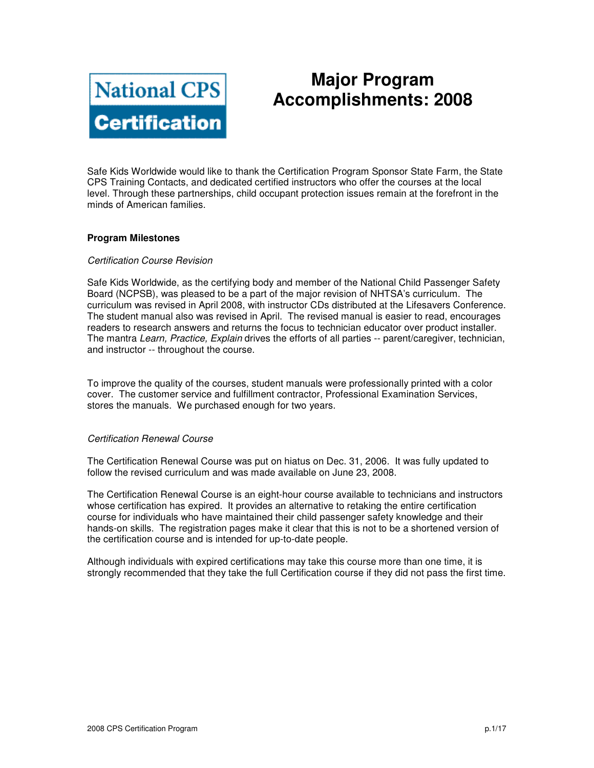

# **Major Program Accomplishments: 2008**

Safe Kids Worldwide would like to thank the Certification Program Sponsor State Farm, the State CPS Training Contacts, and dedicated certified instructors who offer the courses at the local level. Through these partnerships, child occupant protection issues remain at the forefront in the minds of American families.

### **Program Milestones**

### Certification Course Revision

Safe Kids Worldwide, as the certifying body and member of the National Child Passenger Safety Board (NCPSB), was pleased to be a part of the major revision of NHTSA's curriculum. The curriculum was revised in April 2008, with instructor CDs distributed at the Lifesavers Conference. The student manual also was revised in April. The revised manual is easier to read, encourages readers to research answers and returns the focus to technician educator over product installer. The mantra Learn, Practice, Explain drives the efforts of all parties -- parent/caregiver, technician, and instructor -- throughout the course.

To improve the quality of the courses, student manuals were professionally printed with a color cover. The customer service and fulfillment contractor, Professional Examination Services, stores the manuals. We purchased enough for two years.

### Certification Renewal Course

The Certification Renewal Course was put on hiatus on Dec. 31, 2006. It was fully updated to follow the revised curriculum and was made available on June 23, 2008.

The Certification Renewal Course is an eight-hour course available to technicians and instructors whose certification has expired. It provides an alternative to retaking the entire certification course for individuals who have maintained their child passenger safety knowledge and their hands-on skills. The registration pages make it clear that this is not to be a shortened version of the certification course and is intended for up-to-date people.

Although individuals with expired certifications may take this course more than one time, it is strongly recommended that they take the full Certification course if they did not pass the first time.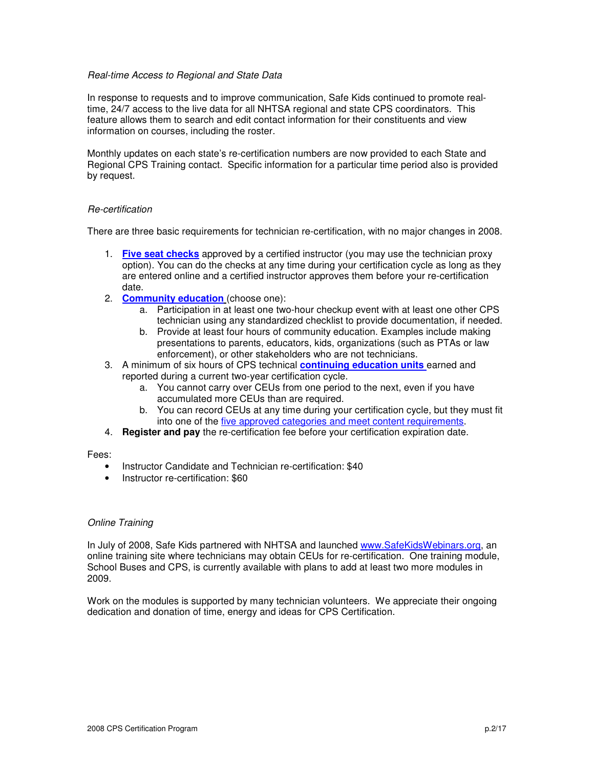### Real-time Access to Regional and State Data

In response to requests and to improve communication, Safe Kids continued to promote realtime, 24/7 access to the live data for all NHTSA regional and state CPS coordinators. This feature allows them to search and edit contact information for their constituents and view information on courses, including the roster.

Monthly updates on each state's re-certification numbers are now provided to each State and Regional CPS Training contact. Specific information for a particular time period also is provided by request.

### Re-certification

There are three basic requirements for technician re-certification, with no major changes in 2008.

- 1. **Five seat checks** approved by a certified instructor (you may use the technician proxy option). You can do the checks at any time during your certification cycle as long as they are entered online and a certified instructor approves them before your re-certification date.
- 2. **Community education** (choose one):
	- a. Participation in at least one two-hour checkup event with at least one other CPS technician using any standardized checklist to provide documentation, if needed.
	- b. Provide at least four hours of community education. Examples include making presentations to parents, educators, kids, organizations (such as PTAs or law enforcement), or other stakeholders who are not technicians.
- 3. A minimum of six hours of CPS technical **continuing education units** earned and reported during a current two-year certification cycle.
	- a. You cannot carry over CEUs from one period to the next, even if you have accumulated more CEUs than are required.
	- b. You can record CEUs at any time during your certification cycle, but they must fit into one of the five approved categories and meet content requirements.
- 4. **Register and pay** the re-certification fee before your certification expiration date.

### Fees:

- Instructor Candidate and Technician re-certification: \$40
- Instructor re-certification: \$60

### Online Training

In July of 2008, Safe Kids partnered with NHTSA and launched www.SafeKidsWebinars.org, an online training site where technicians may obtain CEUs for re-certification. One training module, School Buses and CPS, is currently available with plans to add at least two more modules in 2009.

Work on the modules is supported by many technician volunteers. We appreciate their ongoing dedication and donation of time, energy and ideas for CPS Certification.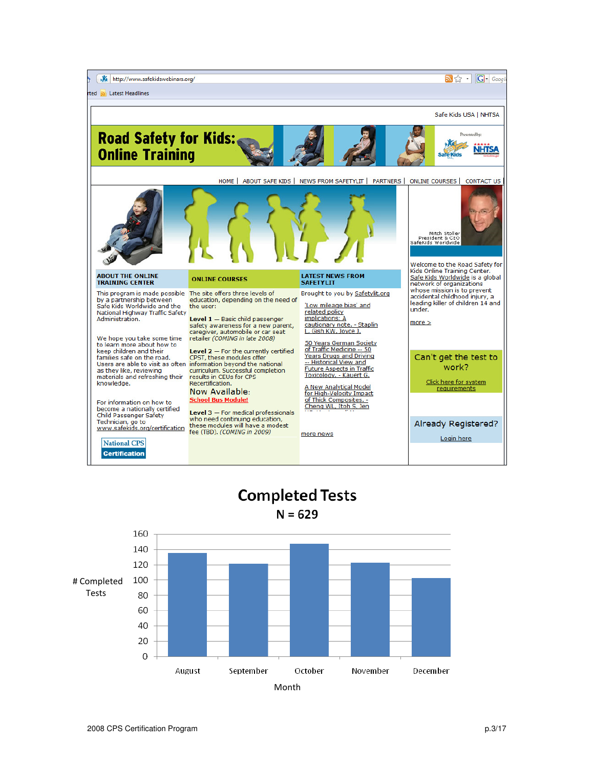

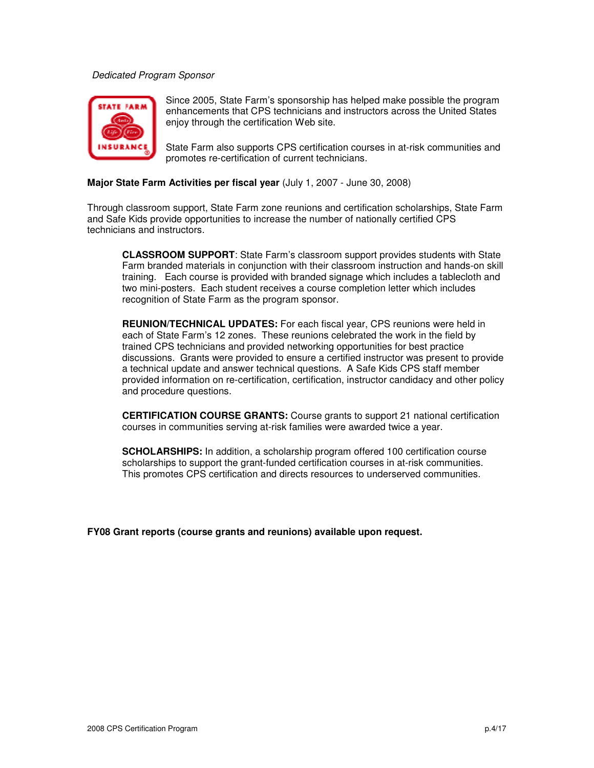### Dedicated Program Sponsor



Since 2005, State Farm's sponsorship has helped make possible the program enhancements that CPS technicians and instructors across the United States enjoy through the certification Web site.

State Farm also supports CPS certification courses in at-risk communities and promotes re-certification of current technicians.

### **Major State Farm Activities per fiscal year** (July 1, 2007 - June 30, 2008)

Through classroom support, State Farm zone reunions and certification scholarships, State Farm and Safe Kids provide opportunities to increase the number of nationally certified CPS technicians and instructors.

**CLASSROOM SUPPORT**: State Farm's classroom support provides students with State Farm branded materials in conjunction with their classroom instruction and hands-on skill training. Each course is provided with branded signage which includes a tablecloth and two mini-posters. Each student receives a course completion letter which includes recognition of State Farm as the program sponsor.

**REUNION/TECHNICAL UPDATES:** For each fiscal year, CPS reunions were held in each of State Farm's 12 zones. These reunions celebrated the work in the field by trained CPS technicians and provided networking opportunities for best practice discussions. Grants were provided to ensure a certified instructor was present to provide a technical update and answer technical questions. A Safe Kids CPS staff member provided information on re-certification, certification, instructor candidacy and other policy and procedure questions.

**CERTIFICATION COURSE GRANTS:** Course grants to support 21 national certification courses in communities serving at-risk families were awarded twice a year.

**SCHOLARSHIPS:** In addition, a scholarship program offered 100 certification course scholarships to support the grant-funded certification courses in at-risk communities. This promotes CPS certification and directs resources to underserved communities.

**FY08 Grant reports (course grants and reunions) available upon request.**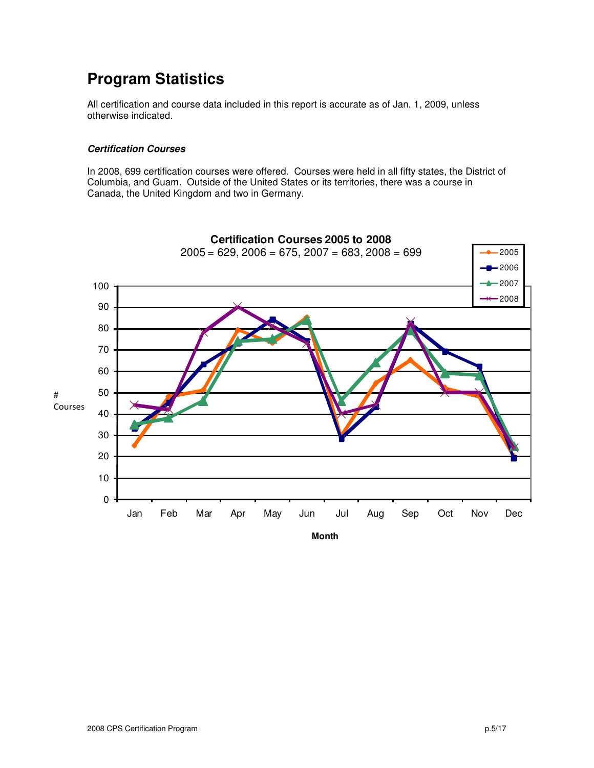# **Program Statistics**

All certification and course data included in this report is accurate as of Jan. 1, 2009, unless otherwise indicated.

### **Certification Courses**

In 2008, 699 certification courses were offered. Courses were held in all fifty states, the District of Columbia, and Guam. Outside of the United States or its territories, there was a course in Canada, the United Kingdom and two in Germany.

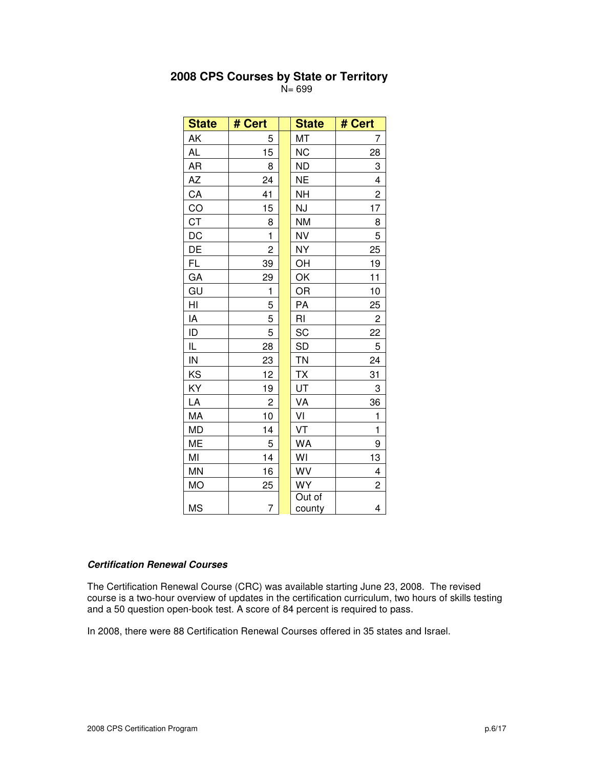| <b>State</b>    | # Cert         | <b>State</b>     | # Cert         |
|-----------------|----------------|------------------|----------------|
| AK              | 5              | MT               | 7              |
| <b>AL</b>       | 15             | <b>NC</b>        | 28             |
| <b>AR</b>       | 8              | <b>ND</b>        | 3              |
| AZ              | 24             | <b>NE</b>        | 4              |
| CA              | 41             | <b>NH</b>        | $\overline{c}$ |
| $\overline{CO}$ | 15             | NJ               | 17             |
| <b>CT</b>       | 8              | <b>NM</b>        | 8              |
| DC              | $\mathbf{1}$   | <b>NV</b>        | 5              |
| DE              | $\overline{c}$ | <b>NY</b>        | 25             |
| FL              | 39             | OH               | 19             |
| GA              | 29             | OK               | 11             |
| GU              | 1              | OR               | 10             |
| HI              | 5              | PA               | 25             |
| IA              | 5              | RI               | $\overline{c}$ |
| ID              | 5              | SC               | 22             |
| IL              | 28             | <b>SD</b>        | 5              |
| IN              | 23             | <b>TN</b>        | 24             |
| KS              | 12             | <b>TX</b>        | 31             |
| ΚY              | 19             | UT               | 3              |
| LA              | $\overline{c}$ | VA               | 36             |
| MA              | 10             | VI               | $\mathbf{1}$   |
| MD              | 14             | VT               | $\mathbf{1}$   |
| ME              | 5              | <b>WA</b>        | 9              |
| MI              | 14             | WI               | 13             |
| MN              | 16             | WV               | 4              |
| <b>MO</b>       | 25             | <b>WY</b>        | 2              |
| <b>MS</b>       | 7              | Out of<br>county | 4              |

## **2008 CPS Courses by State or Territory**

N= 699

### **Certification Renewal Courses**

The Certification Renewal Course (CRC) was available starting June 23, 2008. The revised course is a two-hour overview of updates in the certification curriculum, two hours of skills testing and a 50 question open-book test. A score of 84 percent is required to pass.

In 2008, there were 88 Certification Renewal Courses offered in 35 states and Israel.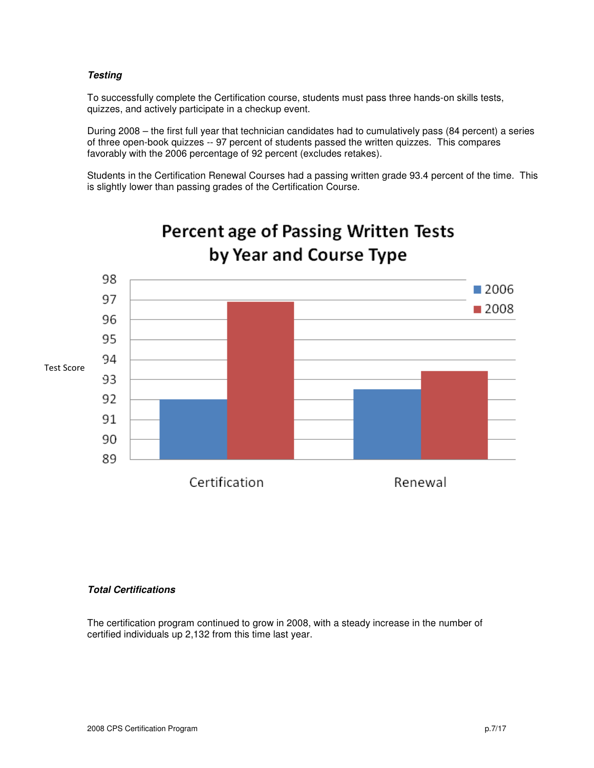### **Testing**

To successfully complete the Certification course, students must pass three hands-on skills tests, quizzes, and actively participate in a checkup event.

During 2008 – the first full year that technician candidates had to cumulatively pass (84 percent) a series of three open-book quizzes -- 97 percent of students passed the written quizzes. This compares favorably with the 2006 percentage of 92 percent (excludes retakes).

Students in the Certification Renewal Courses had a passing written grade 93.4 percent of the time. This is slightly lower than passing grades of the Certification Course.



# **Percent age of Passing Written Tests** by Year and Course Type

### **Total Certifications**

The certification program continued to grow in 2008, with a steady increase in the number of certified individuals up 2,132 from this time last year.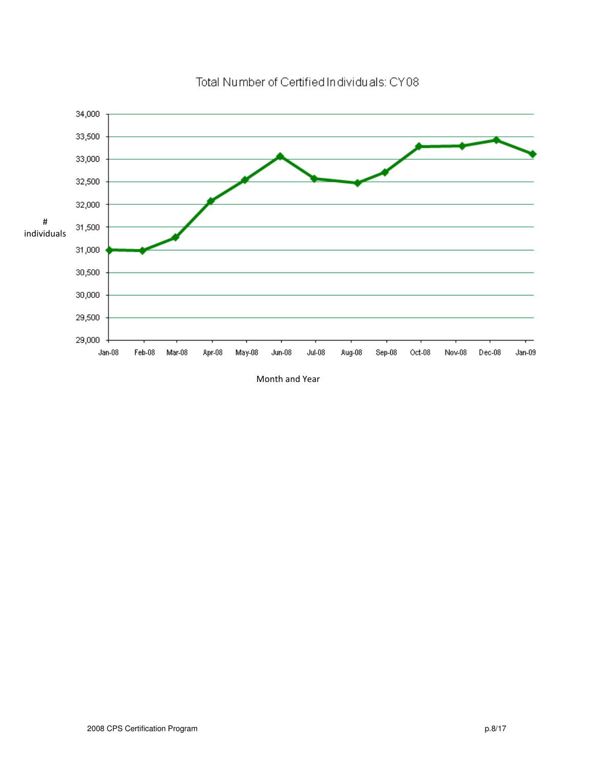

Total Number of Certified Individuals: CY08

Month and Year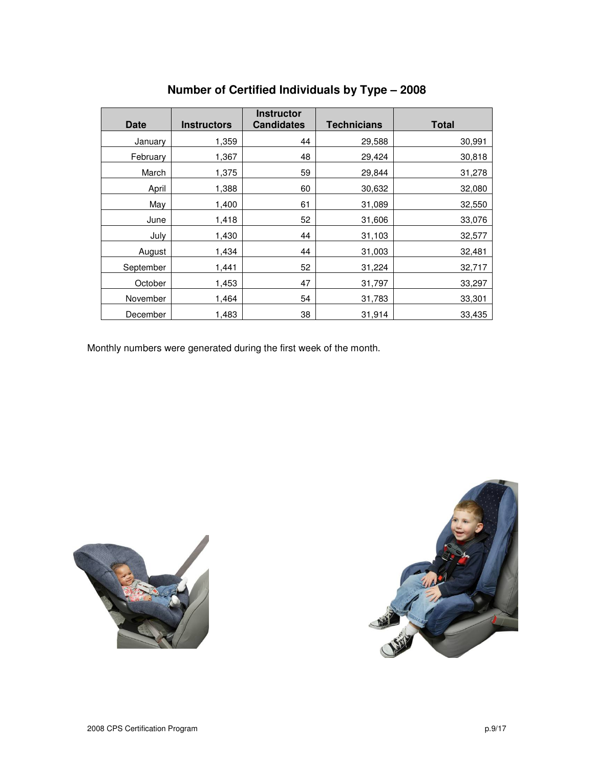| <b>Date</b> | <b>Instructors</b> | <b>Instructor</b><br><b>Candidates</b> | <b>Technicians</b> | <b>Total</b> |
|-------------|--------------------|----------------------------------------|--------------------|--------------|
| January     | 1,359              | 44                                     | 29,588             | 30,991       |
| February    | 1,367              | 48                                     | 29,424             | 30,818       |
| March       | 1,375              | 59                                     | 29,844             | 31,278       |
| April       | 1,388              | 60                                     | 30,632             | 32,080       |
| May         | 1,400              | 61                                     | 31,089             | 32,550       |
| June        | 1,418              | 52                                     | 31,606             | 33,076       |
| July        | 1,430              | 44                                     | 31,103             | 32,577       |
| August      | 1,434              | 44                                     | 31,003             | 32,481       |
| September   | 1,441              | 52                                     | 31,224             | 32,717       |
| October     | 1,453              | 47                                     | 31,797             | 33,297       |
| November    | 1,464              | 54                                     | 31,783             | 33,301       |
| December    | 1,483              | 38                                     | 31,914             | 33,435       |

# **Number of Certified Individuals by Type – 2008**

Monthly numbers were generated during the first week of the month.



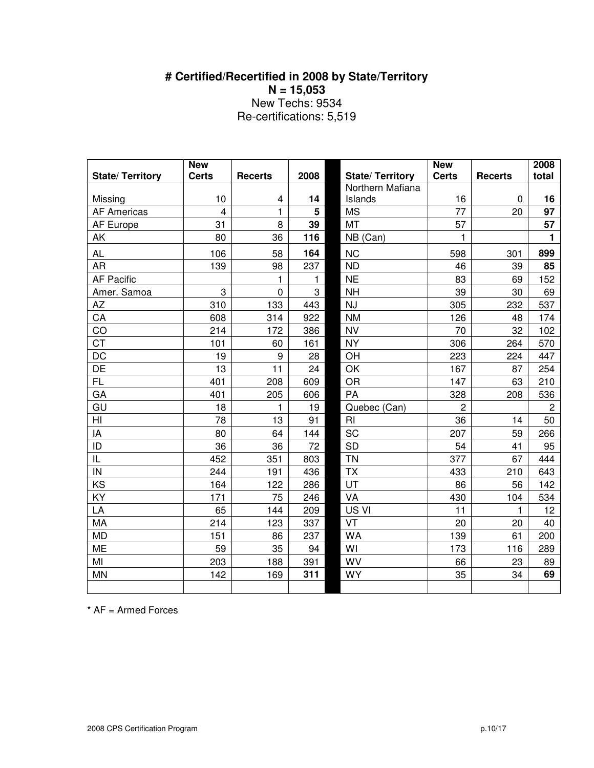# **# Certified/Recertified in 2008 by State/Territory N = 15,053**  New Techs: 9534 Re-certifications: 5,519

|                               | <b>New</b>              |                |      |                             | <b>New</b>     |                | 2008           |
|-------------------------------|-------------------------|----------------|------|-----------------------------|----------------|----------------|----------------|
| <b>State/ Territory</b>       | <b>Certs</b>            | <b>Recerts</b> | 2008 | <b>State/Territory</b>      | <b>Certs</b>   | <b>Recerts</b> | total          |
|                               | 10                      |                | 14   | Northern Mafiana<br>Islands | 16             | 0              | 16             |
| Missing<br><b>AF Americas</b> | $\overline{\mathbf{4}}$ | 4<br>1         | 5    | <b>MS</b>                   | 77             | 20             | 97             |
| AF Europe                     | 31                      | 8              | 39   | MT                          | 57             |                | 57             |
| AK                            | 80                      | 36             | 116  | NB (Can)                    | 1              |                | 1              |
|                               |                         |                |      |                             |                |                |                |
| <b>AL</b>                     | 106                     | 58             | 164  | <b>NC</b>                   | 598            | 301            | 899            |
| <b>AR</b>                     | 139                     | 98             | 237  | <b>ND</b>                   | 46             | 39             | 85             |
| <b>AF Pacific</b>             |                         | 1              | 1    | $NE$                        | 83             | 69             | 152            |
| Amer. Samoa                   | 3                       | $\mathbf 0$    | 3    | <b>NH</b>                   | 39             | 30             | 69             |
| <b>AZ</b>                     | 310                     | 133            | 443  | <b>NJ</b>                   | 305            | 232            | 537            |
| CA                            | 608                     | 314            | 922  | <b>NM</b>                   | 126            | 48             | 174            |
| CO                            | 214                     | 172            | 386  | <b>NV</b>                   | 70             | 32             | 102            |
| <b>CT</b>                     | 101                     | 60             | 161  | <b>NY</b>                   | 306            | 264            | 570            |
| <b>DC</b>                     | 19                      | 9              | 28   | OH                          | 223            | 224            | 447            |
| DE                            | 13                      | 11             | 24   | OK                          | 167            | 87             | 254            |
| <b>FL</b>                     | 401                     | 208            | 609  | <b>OR</b>                   | 147            | 63             | 210            |
| GA                            | 401                     | 205            | 606  | PA                          | 328            | 208            | 536            |
| GU                            | 18                      | 1              | 19   | Quebec (Can)                | $\overline{2}$ |                | $\overline{c}$ |
| HI                            | 78                      | 13             | 91   | RI                          | 36             | 14             | 50             |
| IA                            | 80                      | 64             | 144  | SC                          | 207            | 59             | 266            |
| ID                            | 36                      | 36             | 72   | <b>SD</b>                   | 54             | 41             | 95             |
| IL                            | 452                     | 351            | 803  | <b>TN</b>                   | 377            | 67             | 444            |
| IN                            | 244                     | 191            | 436  | <b>TX</b>                   | 433            | 210            | 643            |
| KS                            | 164                     | 122            | 286  | UT                          | 86             | 56             | 142            |
| KY                            | 171                     | 75             | 246  | VA                          | 430            | 104            | 534            |
| LA                            | 65                      | 144            | 209  | US VI                       | 11             | 1              | 12             |
| MA                            | 214                     | 123            | 337  | VT                          | 20             | 20             | 40             |
| <b>MD</b>                     | 151                     | 86             | 237  | <b>WA</b>                   | 139            | 61             | 200            |
| <b>ME</b>                     | 59                      | 35             | 94   | WI                          | 173            | 116            | 289            |
| MI                            | 203                     | 188            | 391  | <b>WV</b>                   | 66             | 23             | 89             |
| <b>MN</b>                     | 142                     | 169            | 311  | <b>WY</b>                   | 35             | 34             | 69             |
|                               |                         |                |      |                             |                |                |                |

\* AF = Armed Forces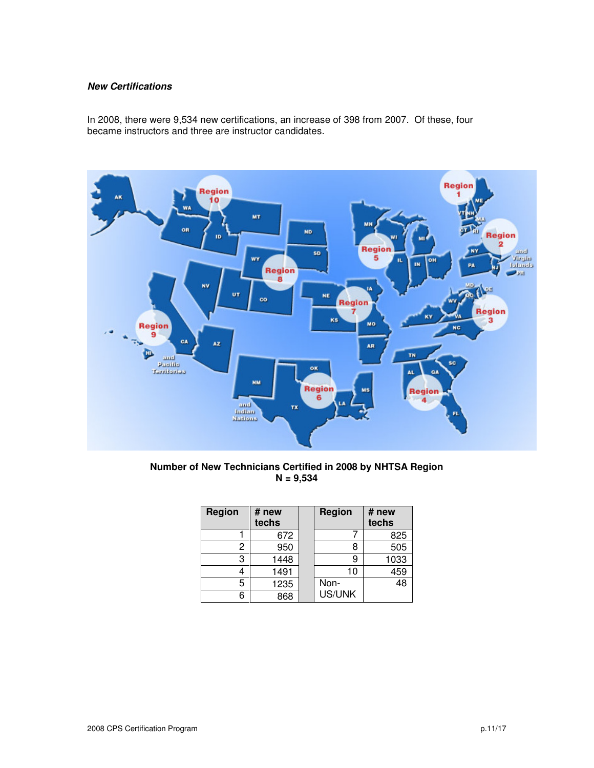### **New Certifications**

In 2008, there were 9,534 new certifications, an increase of 398 from 2007. Of these, four became instructors and three are instructor candidates.



**Number of New Technicians Certified in 2008 by NHTSA Region N = 9,534** 

| Region | # new<br>techs | <b>Region</b> | # new<br>techs |
|--------|----------------|---------------|----------------|
|        | 672            |               | 825            |
| 2      | 950            |               | 505            |
| 3      | 1448           |               | 1033           |
|        | 1491           | 10            | 459            |
| 5      | 1235           | Non-          | 48             |
|        | 868            | US/UNK        |                |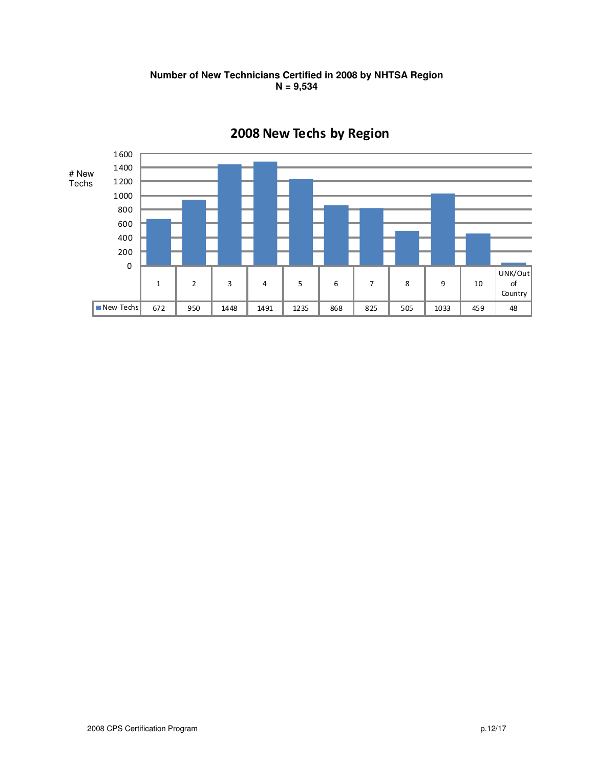

# **Number of New Technicians Certified in 2008 by NHTSA Region N = 9,534**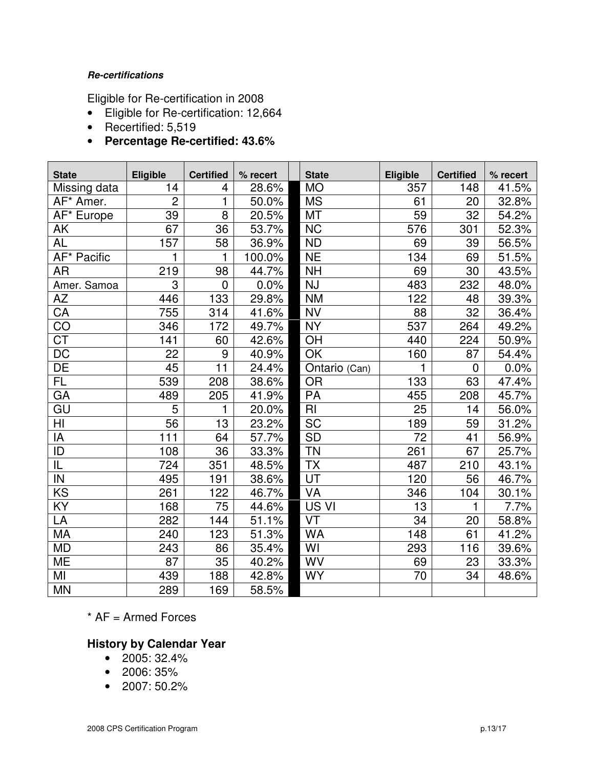## **Re-certifications**

Eligible for Re-certification in 2008

- Eligible for Re-certification: 12,664
- Recertified: 5,519
- **Percentage Re-certified: 43.6%**

| <b>State</b>           | Eligible       | <b>Certified</b> | % recert | <b>State</b>  | <b>Eligible</b> | <b>Certified</b> | % recert |
|------------------------|----------------|------------------|----------|---------------|-----------------|------------------|----------|
| Missing data           | 14             | 4                | 28.6%    | <b>MO</b>     | 357             | 148              | 41.5%    |
| AF* Amer.              | $\overline{2}$ | 1                | 50.0%    | <b>MS</b>     | 61              | 20               | 32.8%    |
| AF* Europe             | 39             | 8                | 20.5%    | <b>MT</b>     | 59              | 32               | 54.2%    |
| AK                     | 67             | 36               | 53.7%    | <b>NC</b>     | 576             | 301              | 52.3%    |
| <b>AL</b>              | 157            | 58               | 36.9%    | <b>ND</b>     | 69              | 39               | 56.5%    |
| AF* Pacific            | 1              | 1                | 100.0%   | <b>NE</b>     | 134             | 69               | 51.5%    |
| <b>AR</b>              | 219            | 98               | 44.7%    | <b>NH</b>     | 69              | 30               | 43.5%    |
| Amer. Samoa            | 3              | $\overline{0}$   | 0.0%     | <b>NJ</b>     | 483             | 232              | 48.0%    |
| <b>AZ</b>              | 446            | 133              | 29.8%    | <b>NM</b>     | 122             | 48               | 39.3%    |
| CA                     | 755            | 314              | 41.6%    | <b>NV</b>     | 88              | 32               | 36.4%    |
| CO                     | 346            | 172              | 49.7%    | <b>NY</b>     | 537             | 264              | 49.2%    |
| $\overline{\text{CT}}$ | 141            | 60               | 42.6%    | OH            | 440             | 224              | 50.9%    |
| <b>DC</b>              | 22             | 9                | 40.9%    | OK            | 160             | 87               | 54.4%    |
| DE                     | 45             | 11               | 24.4%    | Ontario (Can) | 1               | 0                | 0.0%     |
| FL.                    | 539            | 208              | 38.6%    | <b>OR</b>     | 133             | 63               | 47.4%    |
| GA                     | 489            | 205              | 41.9%    | PA            | 455             | 208              | 45.7%    |
| GU                     | 5              | 1                | 20.0%    | RI            | 25              | 14               | 56.0%    |
| HI                     | 56             | 13               | 23.2%    | <b>SC</b>     | 189             | 59               | 31.2%    |
| IA                     | 111            | 64               | 57.7%    | <b>SD</b>     | 72              | 41               | 56.9%    |
| ID                     | 108            | 36               | 33.3%    | <b>TN</b>     | 261             | 67               | 25.7%    |
| IL                     | 724            | 351              | 48.5%    | <b>TX</b>     | 487             | 210              | 43.1%    |
| IN                     | 495            | 191              | 38.6%    | UT            | 120             | 56               | 46.7%    |
| KS                     | 261            | 122              | 46.7%    | <b>VA</b>     | 346             | 104              | 30.1%    |
| KY                     | 168            | 75               | 44.6%    | US VI         | 13              |                  | 7.7%     |
| LA                     | 282            | 144              | 51.1%    | VT            | 34              | 20               | 58.8%    |
| <b>MA</b>              | 240            | 123              | 51.3%    | <b>WA</b>     | 148             | 61               | 41.2%    |
| <b>MD</b>              | 243            | 86               | 35.4%    | WI            | 293             | 116              | 39.6%    |
| ME                     | 87             | 35               | 40.2%    | WV            | 69              | 23               | 33.3%    |
| MI                     | 439            | 188              | 42.8%    | <b>WY</b>     | $\overline{70}$ | 34               | 48.6%    |
| <b>MN</b>              | 289            | 169              | 58.5%    |               |                 |                  |          |

 $*$  AF = Armed Forces

# **History by Calendar Year**

- $\bullet$  2005: 32.4%
- 2006: 35%
- 2007: 50.2%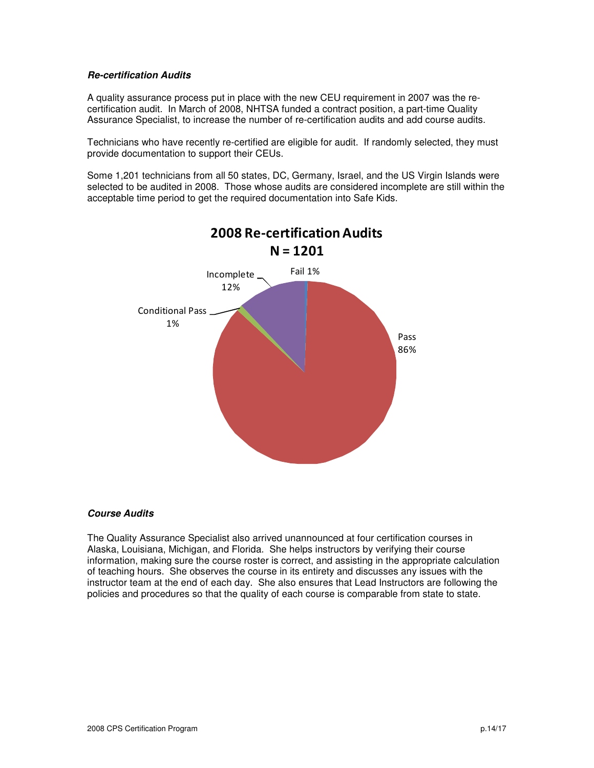### **Re-certification Audits**

A quality assurance process put in place with the new CEU requirement in 2007 was the recertification audit. In March of 2008, NHTSA funded a contract position, a part-time Quality Assurance Specialist, to increase the number of re-certification audits and add course audits.

Technicians who have recently re-certified are eligible for audit. If randomly selected, they must provide documentation to support their CEUs.

Some 1,201 technicians from all 50 states, DC, Germany, Israel, and the US Virgin Islands were selected to be audited in 2008. Those whose audits are considered incomplete are still within the acceptable time period to get the required documentation into Safe Kids.



## **Course Audits**

The Quality Assurance Specialist also arrived unannounced at four certification courses in Alaska, Louisiana, Michigan, and Florida. She helps instructors by verifying their course information, making sure the course roster is correct, and assisting in the appropriate calculation of teaching hours. She observes the course in its entirety and discusses any issues with the instructor team at the end of each day. She also ensures that Lead Instructors are following the policies and procedures so that the quality of each course is comparable from state to state.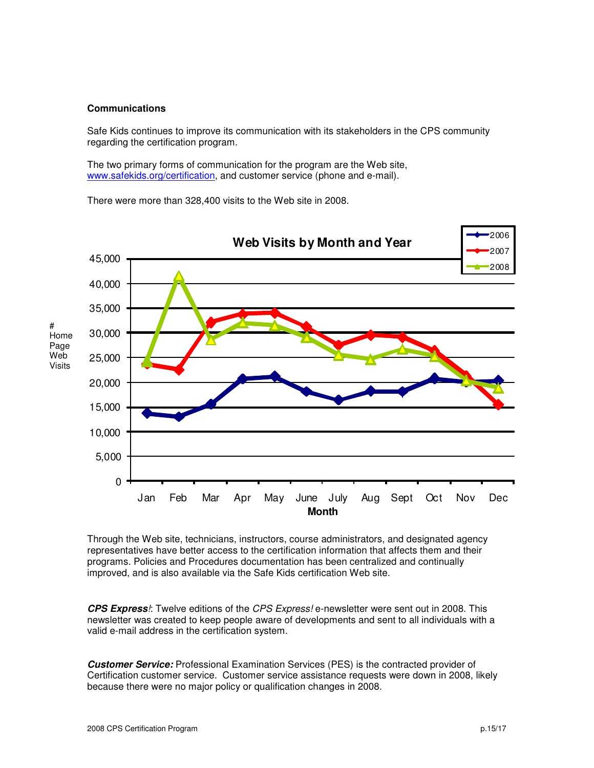### **Communications**

Safe Kids continues to improve its communication with its stakeholders in the CPS community regarding the certification program.

The two primary forms of communication for the program are the Web site, www.safekids.org/certification, and customer service (phone and e-mail).

There were more than 328,400 visits to the Web site in 2008.



Through the Web site, technicians, instructors, course administrators, and designated agency representatives have better access to the certification information that affects them and their programs. Policies and Procedures documentation has been centralized and continually improved, and is also available via the Safe Kids certification Web site.

**CPS Express**!: Twelve editions of the CPS Express! e-newsletter were sent out in 2008. This newsletter was created to keep people aware of developments and sent to all individuals with a valid e-mail address in the certification system.

**Customer Service:** Professional Examination Services (PES) is the contracted provider of Certification customer service. Customer service assistance requests were down in 2008, likely because there were no major policy or qualification changes in 2008.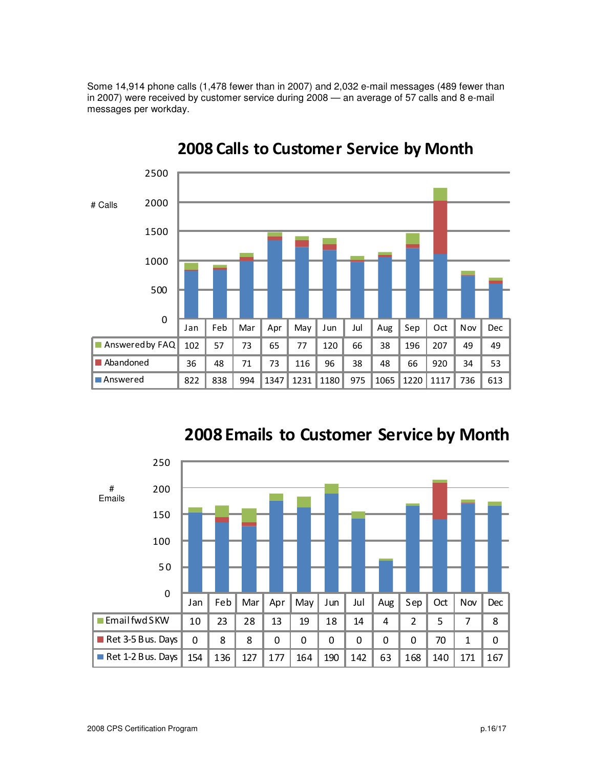Some 14,914 phone calls (1,478 fewer than in 2007) and 2,032 e-mail messages (489 fewer than in 2007) were received by customer service during 2008 — an average of 57 calls and 8 e-mail messages per workday.



# 2008 Calls to Customer Service by Month